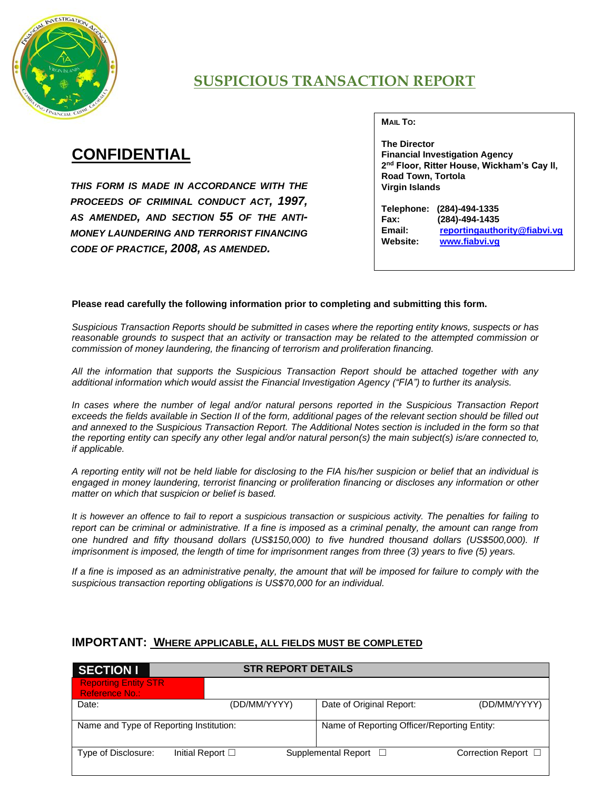

# **SUSPICIOUS TRANSACTION REPORT**

# **CONFIDENTIAL**

*THIS FORM IS MADE IN ACCORDANCE WITH THE PROCEEDS OF CRIMINAL CONDUCT ACT, 1997, AS AMENDED, AND SECTION 55 OF THE ANTI-MONEY LAUNDERING AND TERRORIST FINANCING CODE OF PRACTICE, 2008, AS AMENDED.*

#### **MAIL TO:**

**The Director Financial Investigation Agency 2 nd Floor, Ritter House, Wickham's Cay ll, Road Town, Tortola Virgin Islands**

**Telephone: (284)-494-1335 Fax: (284)-494-1435 Email: [reportingauthority@fiabvi.vg](mailto:reportingauthority@fiabvi.vg) Website: [www.fiabvi.vg](http://www.fiabvi.vg/)**

#### **Please read carefully the following information prior to completing and submitting this form.**

*Suspicious Transaction Reports should be submitted in cases where the reporting entity knows, suspects or has reasonable grounds to suspect that an activity or transaction may be related to the attempted commission or commission of money laundering, the financing of terrorism and proliferation financing.*

*All the information that supports the Suspicious Transaction Report should be attached together with any additional information which would assist the Financial Investigation Agency ("FIA") to further its analysis.*

*In cases where the number of legal and/or natural persons reported in the Suspicious Transaction Report exceeds the fields available in Section II of the form, additional pages of the relevant section should be filled out and annexed to the Suspicious Transaction Report. The Additional Notes section is included in the form so that the reporting entity can specify any other legal and/or natural person(s) the main subject(s) is/are connected to, if applicable.*

*A reporting entity will not be held liable for disclosing to the FIA his/her suspicion or belief that an individual is engaged in money laundering, terrorist financing or proliferation financing or discloses any information or other matter on which that suspicion or belief is based.*

*It is however an offence to fail to report a suspicious transaction or suspicious activity. The penalties for failing to report can be criminal or administrative. If a fine is imposed as a criminal penalty, the amount can range from one hundred and fifty thousand dollars (US\$150,000) to five hundred thousand dollars (US\$500,000). If imprisonment is imposed, the length of time for imprisonment ranges from three (3) years to five (5) years.* 

*If a fine is imposed as an administrative penalty, the amount that will be imposed for failure to comply with the suspicious transaction reporting obligations is US\$70,000 for an individual.*

### **IMPORTANT: WHERE APPLICABLE, ALL FIELDS MUST BE COMPLETED**

| <b>SECTION I</b>                        |                          | <b>STR REPORT DETAILS</b>                   |                          |                     |  |  |  |  |
|-----------------------------------------|--------------------------|---------------------------------------------|--------------------------|---------------------|--|--|--|--|
| Reporting Entity STR<br>Reference No.:  |                          |                                             |                          |                     |  |  |  |  |
| Date:                                   |                          | (DD/MM/YYYY)                                | Date of Original Report: | (DD/MM/YYYY)        |  |  |  |  |
| Name and Type of Reporting Institution: |                          | Name of Reporting Officer/Reporting Entity: |                          |                     |  |  |  |  |
| Type of Disclosure:                     | Initial Report $\square$ |                                             | Supplemental Report □    | Correction Report □ |  |  |  |  |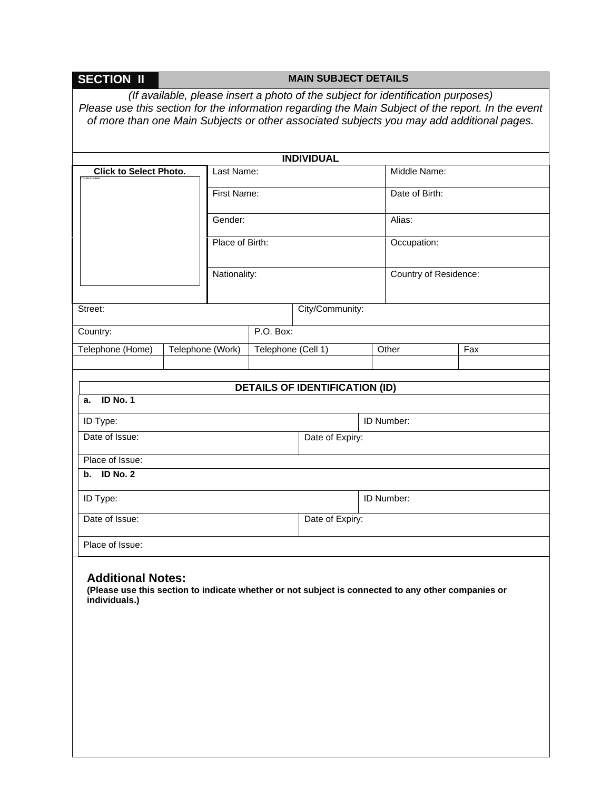## **SECTION II MAIN SUBJECT DETAILS**

*(If available, please insert a photo of the subject for identification purposes) Please use this section for the information regarding the Main Subject of the report. In the event of more than one Main Subjects or other associated subjects you may add additional pages.*

|                               |                  |             |                    | <b>INDIVIDUAL</b>                     |                       |                |                  |  |
|-------------------------------|------------------|-------------|--------------------|---------------------------------------|-----------------------|----------------|------------------|--|
| <b>Click to Select Photo.</b> |                  | Last Name:  |                    |                                       | Middle Name:          |                |                  |  |
|                               |                  | First Name: |                    |                                       |                       | Date of Birth: |                  |  |
|                               | Gender:          |             |                    |                                       | Alias:                |                |                  |  |
|                               | Place of Birth:  |             |                    |                                       | Occupation:           |                |                  |  |
|                               | Nationality:     |             |                    |                                       | Country of Residence: |                |                  |  |
| Street:                       |                  |             |                    |                                       |                       |                |                  |  |
|                               |                  |             |                    | City/Community:                       |                       |                |                  |  |
| Country:                      |                  |             | P.O. Box:          |                                       |                       |                |                  |  |
| Telephone (Home)              | Telephone (Work) |             | Telephone (Cell 1) |                                       |                       | Other          | $\overline{F}ax$ |  |
|                               |                  |             |                    |                                       |                       |                |                  |  |
|                               |                  |             |                    | <b>DETAILS OF IDENTIFICATION (ID)</b> |                       |                |                  |  |
| ID No. 1<br>a.                |                  |             |                    |                                       |                       |                |                  |  |
| ID Type:                      |                  |             |                    |                                       | ID Number:            |                |                  |  |
| Date of Issue:                |                  |             |                    | Date of Expiry:                       |                       |                |                  |  |
| Place of Issue:               |                  |             |                    |                                       |                       |                |                  |  |
| ID No. 2<br>$\mathbf b$ .     |                  |             |                    |                                       |                       |                |                  |  |
| ID Type:                      |                  |             |                    | ID Number:                            |                       |                |                  |  |
| Date of Issue:                |                  |             |                    | Date of Expiry:                       |                       |                |                  |  |
| Place of Issue:               |                  |             |                    |                                       |                       |                |                  |  |
|                               |                  |             |                    |                                       |                       |                |                  |  |

## **Additional Notes:**

**(Please use this section to indicate whether or not subject is connected to any other companies or individuals.)**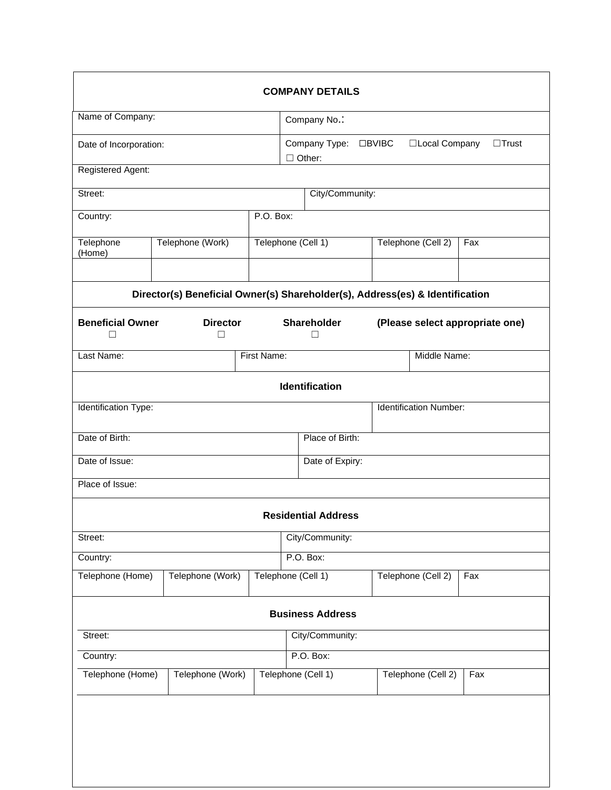|                              |                      |                                 |                    | <b>COMPANY DETAILS</b>                                                  |                                                                              |     |  |  |
|------------------------------|----------------------|---------------------------------|--------------------|-------------------------------------------------------------------------|------------------------------------------------------------------------------|-----|--|--|
| Name of Company:             |                      |                                 | Company No.:       |                                                                         |                                                                              |     |  |  |
| Date of Incorporation:       |                      |                                 |                    | Company Type: □BVIBC<br>□Local Company<br>$\Box$ Trust<br>$\Box$ Other: |                                                                              |     |  |  |
| Registered Agent:            |                      |                                 |                    |                                                                         |                                                                              |     |  |  |
| Street:                      |                      |                                 |                    | City/Community:                                                         |                                                                              |     |  |  |
| Country:                     | P.O. Box:            |                                 |                    |                                                                         |                                                                              |     |  |  |
| Telephone<br>(Home)          | Telephone (Work)     |                                 | Telephone (Cell 1) |                                                                         | Telephone (Cell 2)                                                           | Fax |  |  |
|                              |                      |                                 |                    |                                                                         | Director(s) Beneficial Owner(s) Shareholder(s), Address(es) & Identification |     |  |  |
| <b>Beneficial Owner</b><br>ш | <b>Director</b><br>□ | (Please select appropriate one) |                    |                                                                         |                                                                              |     |  |  |
| Last Name:                   |                      | First Name:                     |                    |                                                                         | Middle Name:                                                                 |     |  |  |
|                              |                      |                                 |                    | <b>Identification</b>                                                   |                                                                              |     |  |  |
| Identification Type:         |                      |                                 |                    |                                                                         | <b>Identification Number:</b>                                                |     |  |  |
| Date of Birth:               |                      |                                 |                    | Place of Birth:                                                         |                                                                              |     |  |  |
| Date of Issue:               |                      |                                 |                    | Date of Expiry:                                                         |                                                                              |     |  |  |
| Place of Issue:              |                      |                                 |                    |                                                                         |                                                                              |     |  |  |
|                              |                      |                                 |                    | <b>Residential Address</b>                                              |                                                                              |     |  |  |
| Street:                      |                      |                                 |                    | City/Community:                                                         |                                                                              |     |  |  |
| Country:                     |                      |                                 |                    | P.O. Box:                                                               |                                                                              |     |  |  |
| Telephone (Home)             | Telephone (Work)     |                                 |                    | Telephone (Cell 1)                                                      | Telephone (Cell 2)                                                           | Fax |  |  |
|                              |                      |                                 |                    | <b>Business Address</b>                                                 |                                                                              |     |  |  |
| Street:<br>City/Community:   |                      |                                 |                    |                                                                         |                                                                              |     |  |  |
| P.O. Box:<br>Country:        |                      |                                 |                    |                                                                         |                                                                              |     |  |  |
| Telephone (Home)             | Telephone (Work)     |                                 |                    | Telephone (Cell 1)                                                      | Telephone (Cell 2)                                                           | Fax |  |  |
|                              |                      |                                 |                    |                                                                         |                                                                              |     |  |  |
|                              |                      |                                 |                    |                                                                         |                                                                              |     |  |  |
|                              |                      |                                 |                    |                                                                         |                                                                              |     |  |  |
|                              |                      |                                 |                    |                                                                         |                                                                              |     |  |  |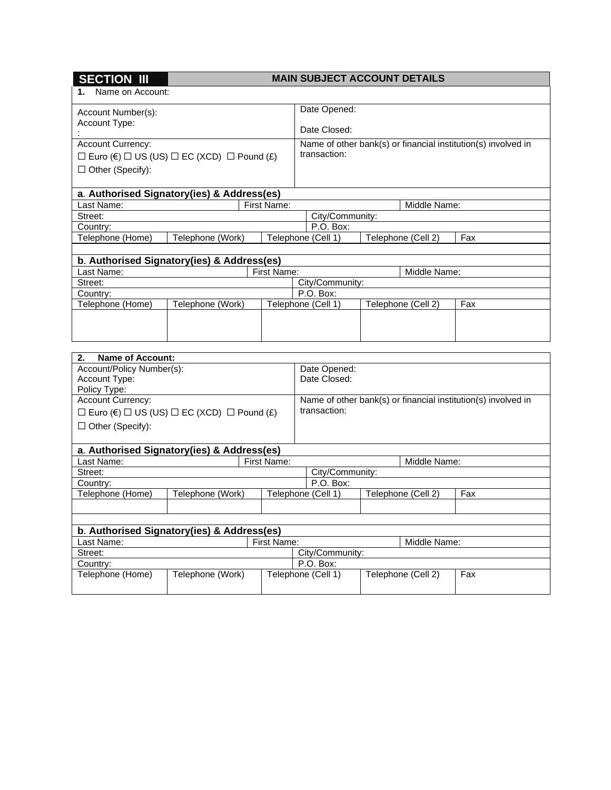| <b>SECTION III</b>                                         | <b>MAIN SUBJECT ACCOUNT DETAILS</b>                             |             |                    |                                                               |     |  |  |  |
|------------------------------------------------------------|-----------------------------------------------------------------|-------------|--------------------|---------------------------------------------------------------|-----|--|--|--|
| Name on Account:<br>1.                                     |                                                                 |             |                    |                                                               |     |  |  |  |
| Account Number(s):                                         |                                                                 |             | Date Opened:       |                                                               |     |  |  |  |
| Account Type:                                              |                                                                 |             |                    |                                                               |     |  |  |  |
|                                                            |                                                                 |             | Date Closed:       |                                                               |     |  |  |  |
| Account Currency:                                          |                                                                 |             |                    | Name of other bank(s) or financial institution(s) involved in |     |  |  |  |
|                                                            | $\Box$ Euro (€) $\Box$ US (US) $\Box$ EC (XCD) $\Box$ Pound (£) |             | transaction:       |                                                               |     |  |  |  |
| $\Box$ Other (Specify):                                    |                                                                 |             |                    |                                                               |     |  |  |  |
|                                                            |                                                                 |             |                    |                                                               |     |  |  |  |
| a. Authorised Signatory(ies) & Address(es)                 |                                                                 |             |                    |                                                               |     |  |  |  |
| Last Name:                                                 |                                                                 | First Name: |                    | Middle Name:                                                  |     |  |  |  |
| Street:                                                    |                                                                 |             | City/Community:    |                                                               |     |  |  |  |
| Country:                                                   |                                                                 |             | P.O. Box:          |                                                               |     |  |  |  |
| Telephone (Home)                                           | Telephone (Work)                                                |             | Telephone (Cell 1) | Telephone (Cell 2)<br>Fax                                     |     |  |  |  |
|                                                            | b. Authorised Signatory(ies) & Address(es)                      |             |                    |                                                               |     |  |  |  |
| Last Name:                                                 |                                                                 | First Name: |                    | Middle Name:                                                  |     |  |  |  |
| Street:                                                    |                                                                 |             | City/Community:    |                                                               |     |  |  |  |
| Country:                                                   |                                                                 |             | P.O. Box:          |                                                               |     |  |  |  |
| Telephone (Home)                                           | Telephone (Work)                                                |             | Telephone (Cell 1) | Telephone (Cell 2)                                            | Fax |  |  |  |
|                                                            |                                                                 |             |                    |                                                               |     |  |  |  |
|                                                            |                                                                 |             |                    |                                                               |     |  |  |  |
|                                                            |                                                                 |             |                    |                                                               |     |  |  |  |
|                                                            |                                                                 |             |                    |                                                               |     |  |  |  |
| <b>Name of Account:</b><br>2.<br>Account/Policy Number(s): |                                                                 |             | Date Opened:       |                                                               |     |  |  |  |
| Account Type:                                              |                                                                 |             | Date Closed:       |                                                               |     |  |  |  |
| Policy Type:                                               |                                                                 |             |                    |                                                               |     |  |  |  |
| <b>Account Currency:</b>                                   |                                                                 |             |                    | Name of other bank(s) or financial institution(s) involved in |     |  |  |  |
|                                                            | $\Box$ Euro (€) $\Box$ US (US) $\Box$ EC (XCD) $\Box$ Pound (£) |             | transaction:       |                                                               |     |  |  |  |
| $\Box$ Other (Specify):                                    |                                                                 |             |                    |                                                               |     |  |  |  |
|                                                            |                                                                 |             |                    |                                                               |     |  |  |  |
|                                                            | a. Authorised Signatory(ies) & Address(es)                      |             |                    |                                                               |     |  |  |  |
| Last Name:                                                 |                                                                 | First Name: | Middle Name:       |                                                               |     |  |  |  |
| Street:                                                    |                                                                 |             | City/Community:    |                                                               |     |  |  |  |
| Country:                                                   |                                                                 |             | P.O. Box:          |                                                               |     |  |  |  |
| Telephone (Home)                                           | Telephone (Work)                                                |             | Telephone (Cell 1) | Telephone (Cell 2)                                            | Fax |  |  |  |
|                                                            |                                                                 |             |                    |                                                               |     |  |  |  |
|                                                            |                                                                 |             |                    |                                                               |     |  |  |  |
| b. Authorised Signatory(ies) & Address(es)                 |                                                                 |             |                    |                                                               |     |  |  |  |
| First Name:<br>Middle Name:<br>Last Name:                  |                                                                 |             |                    |                                                               |     |  |  |  |
| Street:                                                    | City/Community:                                                 |             |                    |                                                               |     |  |  |  |
| Country:                                                   |                                                                 |             | P.O. Box:          |                                                               |     |  |  |  |
| Telephone (Home)                                           | Telephone (Work)                                                |             | Telephone (Cell 1) | Telephone (Cell 2)                                            | Fax |  |  |  |
|                                                            |                                                                 |             |                    |                                                               |     |  |  |  |